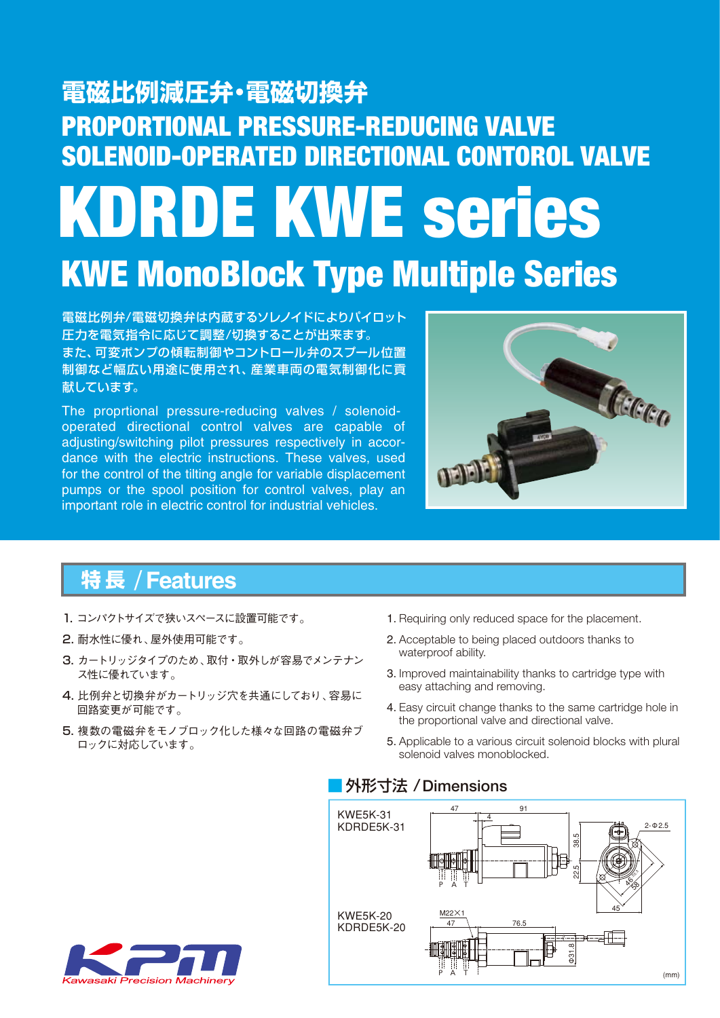# PROPORTIONAL PRESSURE-REDUCING VALVE SOLENOID-OPERATED DIRECTIONAL CONTOROL VALVE KWE MonoBlock Type Multiple Series KDRDE KWE series **電磁比例減圧弁・電磁切換弁**

電磁比例弁/電磁切換弁は内蔵するソレノイドによりパイロット 圧力を電気指令に応じて調整/切換することが出来ます。 また、可変ポンプの傾転制御やコントロール弁のスプール位置 制御など幅広い用途に使用され、産業車両の電気制御化に貢 献しています。

The proprtional pressure-reducing valves / solenoidoperated directional control valves are capable of adjusting/switching pilot pressures respectively in accordance with the electric instructions. These valves, used for the control of the tilting angle for variable displacement pumps or the spool position for control valves, play an important role in electric control for industrial vehicles.



# / **Features 特 長**

- 1. コンパクトサイズで狭いスペースに設置可能です。
- 2. 耐水性に優れ、屋外使用可能です。
- 3. カートリッジタイプのため、取付・取外しが容易でメンテナン ス性に優れています。
- 4. 比例弁と切換弁がカートリッジ穴を共通にしており、容易に 回路変更が可能です。
- 5. 複数の電磁弁をモノブロック化した様々な回路の電磁弁ブ ロックに対応しています。
- 1. Requiring only reduced space for the placement.
- 2. Acceptable to being placed outdoors thanks to waterproof ability.
- 3. Improved maintainability thanks to cartridge type with easy attaching and removing.
- 4. Easy circuit change thanks to the same cartridge hole in the proportional valve and directional valve.
- 5. Applicable to a various circuit solenoid blocks with plural solenoid valves monoblocked.

### ■ 外形寸法 /Dimensions